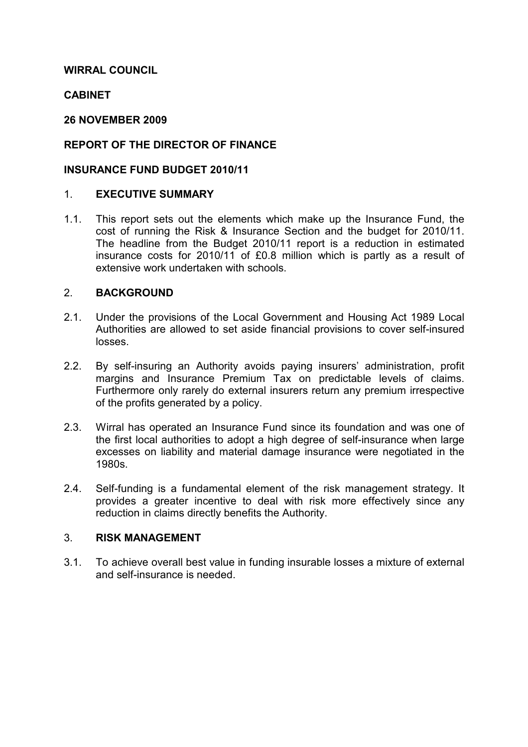#### WIRRAL COUNCIL

### **CABINET**

#### 26 NOVEMBER 2009

# REPORT OF THE DIRECTOR OF FINANCE

#### INSURANCE FUND BUDGET 2010/11

#### 1. EXECUTIVE SUMMARY

1.1. This report sets out the elements which make up the Insurance Fund, the cost of running the Risk & Insurance Section and the budget for 2010/11. The headline from the Budget 2010/11 report is a reduction in estimated insurance costs for 2010/11 of £0.8 million which is partly as a result of extensive work undertaken with schools.

## 2. BACKGROUND

- 2.1. Under the provisions of the Local Government and Housing Act 1989 Local Authorities are allowed to set aside financial provisions to cover self-insured losses.
- 2.2. By self-insuring an Authority avoids paying insurers' administration, profit margins and Insurance Premium Tax on predictable levels of claims. Furthermore only rarely do external insurers return any premium irrespective of the profits generated by a policy.
- 2.3. Wirral has operated an Insurance Fund since its foundation and was one of the first local authorities to adopt a high degree of self-insurance when large excesses on liability and material damage insurance were negotiated in the 1980s.
- 2.4. Self-funding is a fundamental element of the risk management strategy. It provides a greater incentive to deal with risk more effectively since any reduction in claims directly benefits the Authority.

#### 3. RISK MANAGEMENT

3.1. To achieve overall best value in funding insurable losses a mixture of external and self-insurance is needed.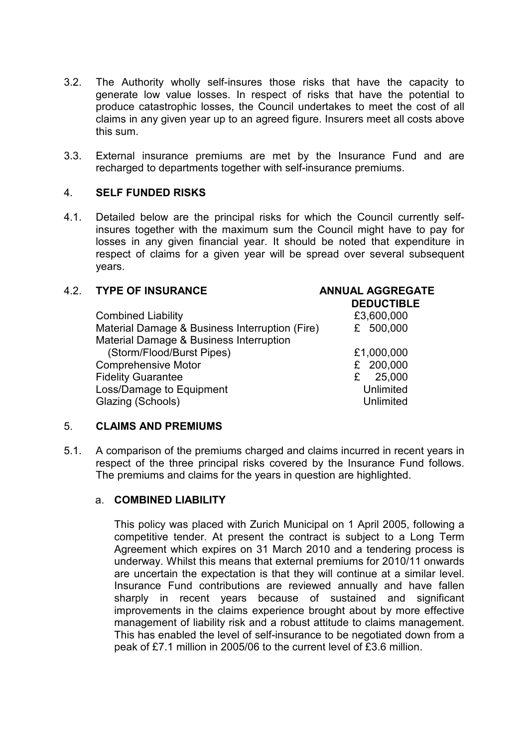- 3.2. The Authority wholly self-insures those risks that have the capacity to generate low value losses. In respect of risks that have the potential to produce catastrophic losses, the Council undertakes to meet the cost of all claims in any given year up to an agreed figure. Insurers meet all costs above this sum.
- 3.3. External insurance premiums are met by the Insurance Fund and are recharged to departments together with self-insurance premiums.

#### 4. SELF FUNDED RISKS

4.1. Detailed below are the principal risks for which the Council currently selfinsures together with the maximum sum the Council might have to pay for losses in any given financial year. It should be noted that expenditure in respect of claims for a given year will be spread over several subsequent years.

## 4.2. TYPE OF INSURANCE ANNUAL AGGREGATE

| <b>DEDUCTIBLE</b> |
|-------------------|
| £3,600,000        |
| £ 500,000         |
|                   |
| £1,000,000        |
| £ 200,000         |
| 25,000<br>£       |
| Unlimited         |
| Unlimited         |
|                   |

#### 5. CLAIMS AND PREMIUMS

5.1. A comparison of the premiums charged and claims incurred in recent years in respect of the three principal risks covered by the Insurance Fund follows. The premiums and claims for the years in question are highlighted.

#### a. COMBINED LIABILITY

 This policy was placed with Zurich Municipal on 1 April 2005, following a competitive tender. At present the contract is subject to a Long Term Agreement which expires on 31 March 2010 and a tendering process is underway. Whilst this means that external premiums for 2010/11 onwards are uncertain the expectation is that they will continue at a similar level. Insurance Fund contributions are reviewed annually and have fallen sharply in recent years because of sustained and significant improvements in the claims experience brought about by more effective management of liability risk and a robust attitude to claims management. This has enabled the level of self-insurance to be negotiated down from a peak of £7.1 million in 2005/06 to the current level of £3.6 million.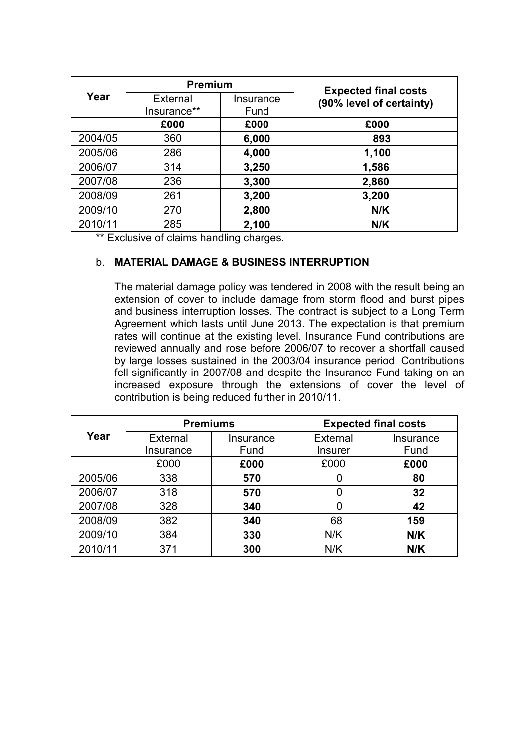|         | <b>Premium</b>  |           | <b>Expected final costs</b> |  |
|---------|-----------------|-----------|-----------------------------|--|
| Year    | <b>External</b> | Insurance | (90% level of certainty)    |  |
|         | Insurance**     | Fund      |                             |  |
|         | £000            | £000      | £000                        |  |
| 2004/05 | 360             | 6,000     | 893                         |  |
| 2005/06 | 286             | 4,000     | 1,100                       |  |
| 2006/07 | 314             | 3,250     | 1,586                       |  |
| 2007/08 | 236             | 3,300     | 2,860                       |  |
| 2008/09 | 261             | 3,200     | 3,200                       |  |
| 2009/10 | 270             | 2,800     | N/K                         |  |
| 2010/11 | 285             | 2,100     | N/K                         |  |

\*\* Exclusive of claims handling charges.

# b. MATERIAL DAMAGE & BUSINESS INTERRUPTION

 The material damage policy was tendered in 2008 with the result being an extension of cover to include damage from storm flood and burst pipes and business interruption losses. The contract is subject to a Long Term Agreement which lasts until June 2013. The expectation is that premium rates will continue at the existing level. Insurance Fund contributions are reviewed annually and rose before 2006/07 to recover a shortfall caused by large losses sustained in the 2003/04 insurance period. Contributions fell significantly in 2007/08 and despite the Insurance Fund taking on an increased exposure through the extensions of cover the level of contribution is being reduced further in 2010/11.

|         | <b>Premiums</b> |           | <b>Expected final costs</b> |           |  |
|---------|-----------------|-----------|-----------------------------|-----------|--|
| Year    | <b>External</b> | Insurance | <b>External</b>             | Insurance |  |
|         | Insurance       | Fund      | <b>Insurer</b>              | Fund      |  |
|         | £000            | £000      | £000                        | £000      |  |
| 2005/06 | 338             | 570       | 0                           | 80        |  |
| 2006/07 | 318             | 570       | 0                           | 32        |  |
| 2007/08 | 328             | 340       | 0                           | 42        |  |
| 2008/09 | 382             | 340       | 68                          | 159       |  |
| 2009/10 | 384             | 330       | N/K                         | N/K       |  |
| 2010/11 | 371             | 300       | N/K                         | N/K       |  |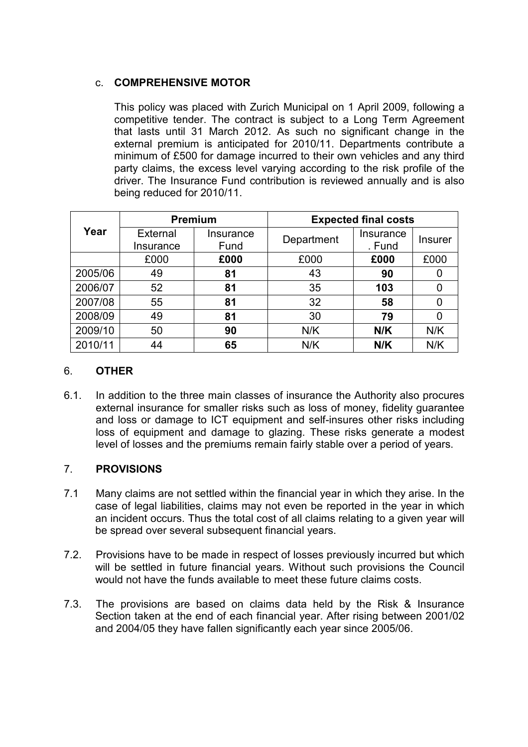# c. COMPREHENSIVE MOTOR

 This policy was placed with Zurich Municipal on 1 April 2009, following a competitive tender. The contract is subject to a Long Term Agreement that lasts until 31 March 2012. As such no significant change in the external premium is anticipated for 2010/11. Departments contribute a minimum of £500 for damage incurred to their own vehicles and any third party claims, the excess level varying according to the risk profile of the driver. The Insurance Fund contribution is reviewed annually and is also being reduced for 2010/11.

|         | <b>Premium</b>               |                   | <b>Expected final costs</b> |                     |                |
|---------|------------------------------|-------------------|-----------------------------|---------------------|----------------|
| Year    | <b>External</b><br>Insurance | Insurance<br>Fund | Department                  | Insurance<br>. Fund | <b>Insurer</b> |
|         | £000                         | £000              | £000                        | £000                | £000           |
| 2005/06 | 49                           | 81                | 43                          | 90                  |                |
| 2006/07 | 52                           | 81                | 35                          | 103                 |                |
| 2007/08 | 55                           | 81                | 32                          | 58                  |                |
| 2008/09 | 49                           | 81                | 30                          | 79                  |                |
| 2009/10 | 50                           | 90                | N/K                         | N/K                 | N/K            |
| 2010/11 | 44                           | 65                | N/K                         | N/K                 | N/K            |

# 6. OTHER

6.1. In addition to the three main classes of insurance the Authority also procures external insurance for smaller risks such as loss of money, fidelity guarantee and loss or damage to ICT equipment and self-insures other risks including loss of equipment and damage to glazing. These risks generate a modest level of losses and the premiums remain fairly stable over a period of years.

#### 7. PROVISIONS

- 7.1 Many claims are not settled within the financial year in which they arise. In the case of legal liabilities, claims may not even be reported in the year in which an incident occurs. Thus the total cost of all claims relating to a given year will be spread over several subsequent financial years.
- 7.2. Provisions have to be made in respect of losses previously incurred but which will be settled in future financial years. Without such provisions the Council would not have the funds available to meet these future claims costs.
- 7.3. The provisions are based on claims data held by the Risk & Insurance Section taken at the end of each financial year. After rising between 2001/02 and 2004/05 they have fallen significantly each year since 2005/06.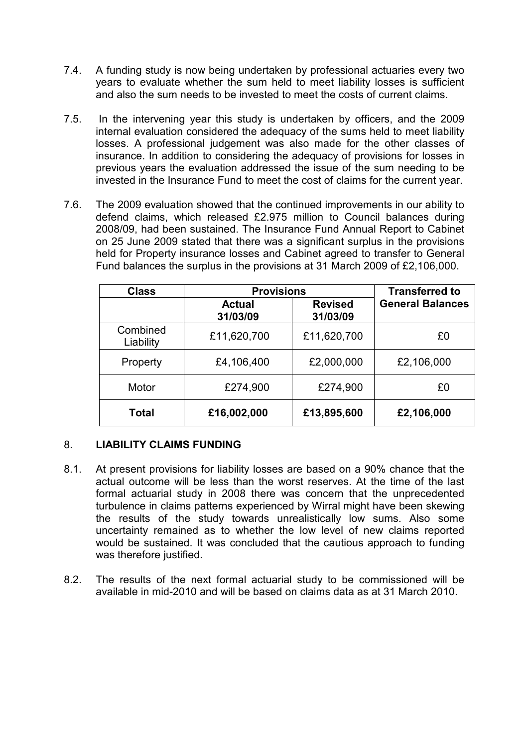- 7.4. A funding study is now being undertaken by professional actuaries every two years to evaluate whether the sum held to meet liability losses is sufficient and also the sum needs to be invested to meet the costs of current claims.
- 7.5. In the intervening year this study is undertaken by officers, and the 2009 internal evaluation considered the adequacy of the sums held to meet liability losses. A professional judgement was also made for the other classes of insurance. In addition to considering the adequacy of provisions for losses in previous years the evaluation addressed the issue of the sum needing to be invested in the Insurance Fund to meet the cost of claims for the current year.
- 7.6. The 2009 evaluation showed that the continued improvements in our ability to defend claims, which released £2.975 million to Council balances during 2008/09, had been sustained. The Insurance Fund Annual Report to Cabinet on 25 June 2009 stated that there was a significant surplus in the provisions held for Property insurance losses and Cabinet agreed to transfer to General Fund balances the surplus in the provisions at 31 March 2009 of £2,106,000.

| <b>Class</b>          | <b>Provisions</b>         | <b>Transferred to</b>      |                         |
|-----------------------|---------------------------|----------------------------|-------------------------|
|                       | <b>Actual</b><br>31/03/09 | <b>Revised</b><br>31/03/09 | <b>General Balances</b> |
| Combined<br>Liability | £11,620,700               | £11,620,700                | £0                      |
| Property              | £4,106,400                | £2,000,000                 | £2,106,000              |
| Motor                 | £274,900                  | £274,900                   | £0                      |
| <b>Total</b>          | £16,002,000               | £13,895,600                | £2,106,000              |

# 8. LIABILITY CLAIMS FUNDING

- 8.1. At present provisions for liability losses are based on a 90% chance that the actual outcome will be less than the worst reserves. At the time of the last formal actuarial study in 2008 there was concern that the unprecedented turbulence in claims patterns experienced by Wirral might have been skewing the results of the study towards unrealistically low sums. Also some uncertainty remained as to whether the low level of new claims reported would be sustained. It was concluded that the cautious approach to funding was therefore justified.
- 8.2. The results of the next formal actuarial study to be commissioned will be available in mid-2010 and will be based on claims data as at 31 March 2010.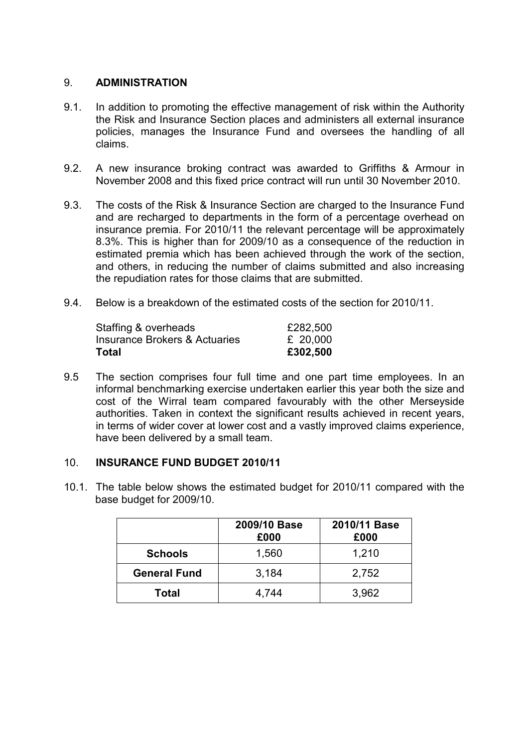### 9. ADMINISTRATION

- 9.1. In addition to promoting the effective management of risk within the Authority the Risk and Insurance Section places and administers all external insurance policies, manages the Insurance Fund and oversees the handling of all claims.
- 9.2. A new insurance broking contract was awarded to Griffiths & Armour in November 2008 and this fixed price contract will run until 30 November 2010.
- 9.3. The costs of the Risk & Insurance Section are charged to the Insurance Fund and are recharged to departments in the form of a percentage overhead on insurance premia. For 2010/11 the relevant percentage will be approximately 8.3%. This is higher than for 2009/10 as a consequence of the reduction in estimated premia which has been achieved through the work of the section, and others, in reducing the number of claims submitted and also increasing the repudiation rates for those claims that are submitted.
- 9.4. Below is a breakdown of the estimated costs of the section for 2010/11.

| Staffing & overheads          | £282,500 |
|-------------------------------|----------|
| Insurance Brokers & Actuaries | £ 20,000 |
| Total                         | £302,500 |

9.5 The section comprises four full time and one part time employees. In an informal benchmarking exercise undertaken earlier this year both the size and cost of the Wirral team compared favourably with the other Merseyside authorities. Taken in context the significant results achieved in recent years, in terms of wider cover at lower cost and a vastly improved claims experience, have been delivered by a small team.

#### 10. INSURANCE FUND BUDGET 2010/11

10.1. The table below shows the estimated budget for 2010/11 compared with the base budget for 2009/10.

|                     | 2009/10 Base<br>£000 | 2010/11 Base<br>£000 |
|---------------------|----------------------|----------------------|
| <b>Schools</b>      | 1,560                | 1,210                |
| <b>General Fund</b> | 3,184                | 2,752                |
| Total               | 4,744                | 3,962                |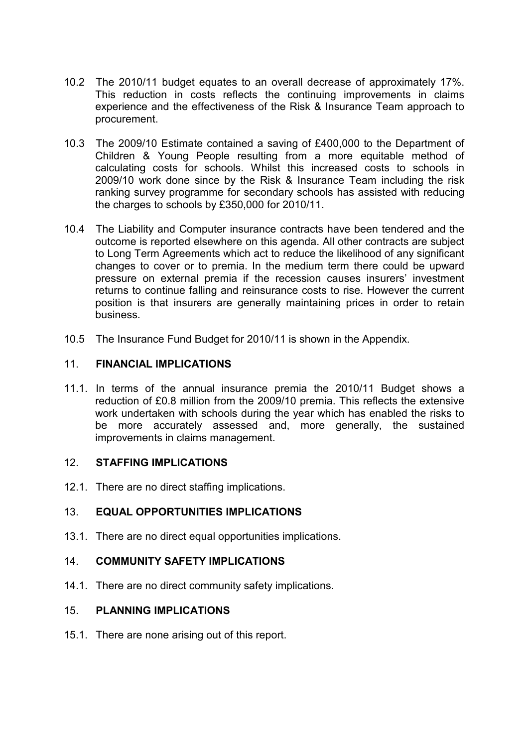- 10.2 The 2010/11 budget equates to an overall decrease of approximately 17%. This reduction in costs reflects the continuing improvements in claims experience and the effectiveness of the Risk & Insurance Team approach to procurement.
- 10.3 The 2009/10 Estimate contained a saving of £400,000 to the Department of Children & Young People resulting from a more equitable method of calculating costs for schools. Whilst this increased costs to schools in 2009/10 work done since by the Risk & Insurance Team including the risk ranking survey programme for secondary schools has assisted with reducing the charges to schools by £350,000 for 2010/11.
- 10.4 The Liability and Computer insurance contracts have been tendered and the outcome is reported elsewhere on this agenda. All other contracts are subject to Long Term Agreements which act to reduce the likelihood of any significant changes to cover or to premia. In the medium term there could be upward pressure on external premia if the recession causes insurers' investment returns to continue falling and reinsurance costs to rise. However the current position is that insurers are generally maintaining prices in order to retain business.
- 10.5 The Insurance Fund Budget for 2010/11 is shown in the Appendix.

#### 11. FINANCIAL IMPLICATIONS

11.1. In terms of the annual insurance premia the 2010/11 Budget shows a reduction of £0.8 million from the 2009/10 premia. This reflects the extensive work undertaken with schools during the year which has enabled the risks to be more accurately assessed and, more generally, the sustained improvements in claims management.

#### 12. STAFFING IMPLICATIONS

12.1. There are no direct staffing implications.

#### 13. EQUAL OPPORTUNITIES IMPLICATIONS

13.1. There are no direct equal opportunities implications.

#### 14. COMMUNITY SAFETY IMPLICATIONS

14.1. There are no direct community safety implications.

#### 15. PLANNING IMPLICATIONS

15.1. There are none arising out of this report.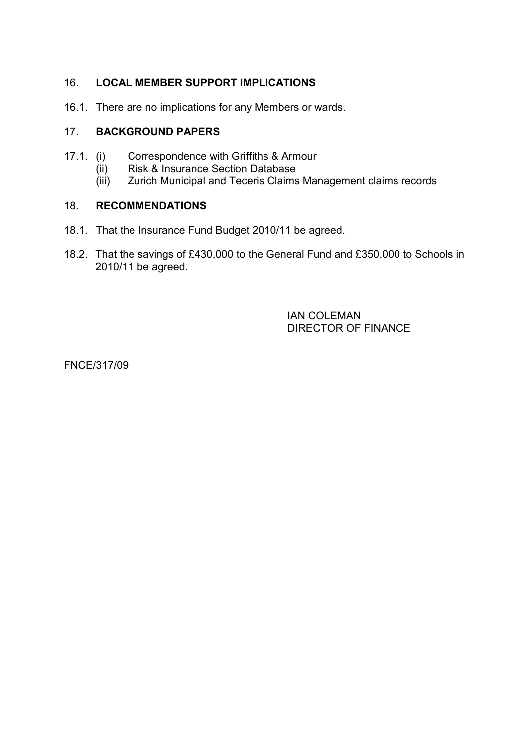# 16. LOCAL MEMBER SUPPORT IMPLICATIONS

16.1. There are no implications for any Members or wards.

# 17. BACKGROUND PAPERS

- 17.1. (i) Correspondence with Griffiths & Armour
	- (ii) Risk & Insurance Section Database
	- (iii) Zurich Municipal and Teceris Claims Management claims records

#### 18. RECOMMENDATIONS

- 18.1. That the Insurance Fund Budget 2010/11 be agreed.
- 18.2. That the savings of £430,000 to the General Fund and £350,000 to Schools in 2010/11 be agreed.

 IAN COLEMAN DIRECTOR OF FINANCE

FNCE/317/09